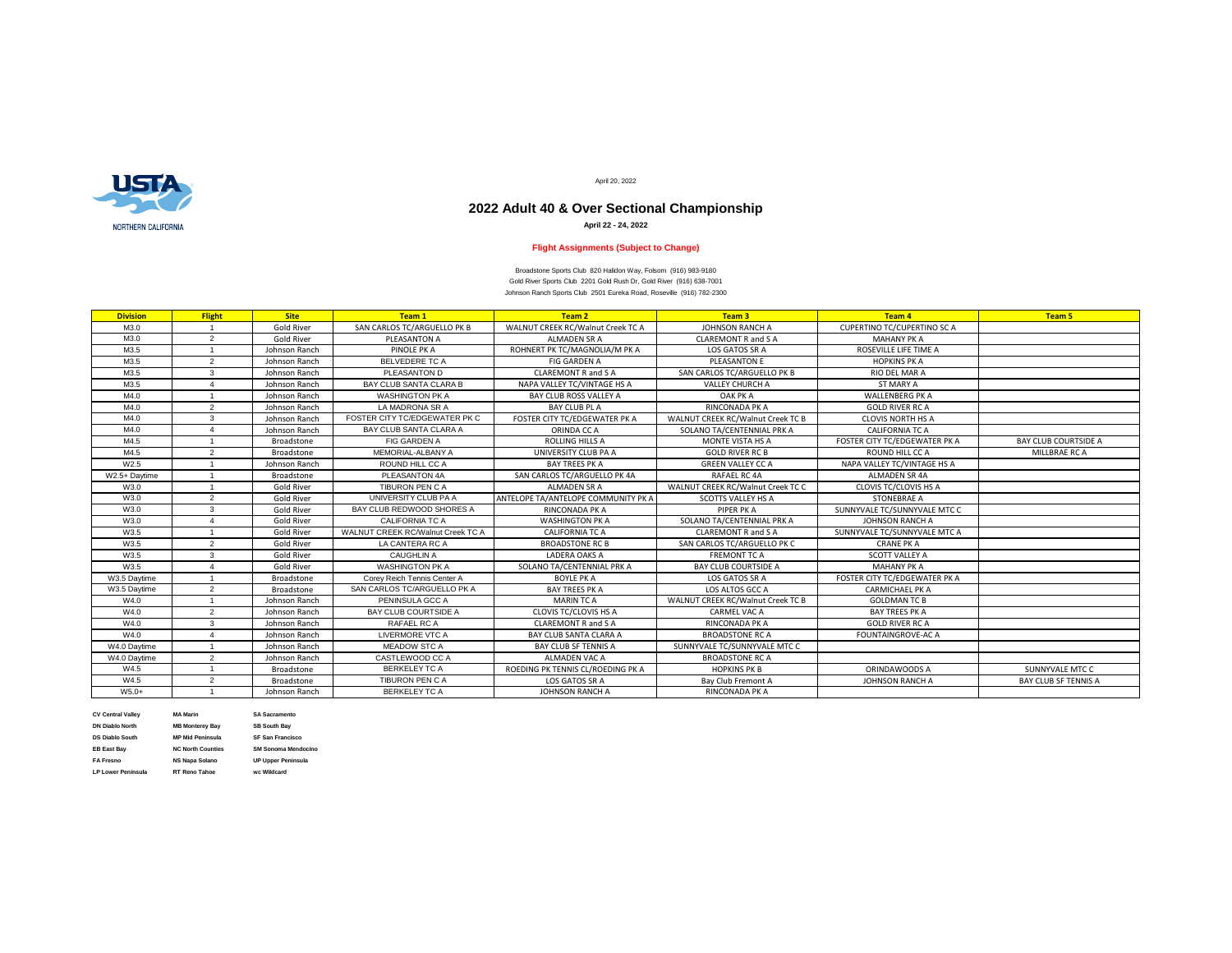

M4.0 1 3 3 Johnson Ranch FOSTER CITY TC/EDGEV W3.5 Daytime | 2 | Broadstone | SAN CARLOS TC/ARGU

| <b>Division</b> | <b>Flight</b> | <b>Site</b>       | Team 1                                   | <b>Team 2</b>                       | Team 3                            | <b>Team 4</b>                      | <b>Team 5</b>               |
|-----------------|---------------|-------------------|------------------------------------------|-------------------------------------|-----------------------------------|------------------------------------|-----------------------------|
| M3.0            |               | <b>Gold River</b> | SAN CARLOS TC/ARGUELLO PK B              | WALNUT CREEK RC/Walnut Creek TC A   | <b>JOHNSON RANCH A</b>            | <b>CUPERTINO TC/CUPERTINO SC A</b> |                             |
| M3.0            | 2             | <b>Gold River</b> | PLEASANTON A                             | <b>ALMADEN SR A</b>                 | <b>CLAREMONT R and S A</b>        | <b>MAHANY PK A</b>                 |                             |
| M3.5            |               | Johnson Ranch     | PINOLE PK A                              | ROHNERT PK TC/MAGNOLIA/M PK A       | LOS GATOS SR A                    | ROSEVILLE LIFE TIME A              |                             |
| M3.5            | 2             | Johnson Ranch     | <b>BELVEDERE TC A</b>                    | FIG GARDEN A                        | <b>PLEASANTON E</b>               | <b>HOPKINS PK A</b>                |                             |
| M3.5            | $\mathbf{3}$  | Johnson Ranch     | PLEASANTON D                             | <b>CLAREMONT R and S A</b>          | SAN CARLOS TC/ARGUELLO PK B       | RIO DEL MAR A                      |                             |
| M3.5            |               | Johnson Ranch     | BAY CLUB SANTA CLARA B                   | NAPA VALLEY TC/VINTAGE HS A         | <b>VALLEY CHURCH A</b>            | <b>ST MARY A</b>                   |                             |
| M4.0            |               | Johnson Ranch     | <b>WASHINGTON PK A</b>                   | <b>BAY CLUB ROSS VALLEY A</b>       | OAK PK A                          | <b>WALLENBERG PK A</b>             |                             |
| M4.0            | 2             | Johnson Ranch     | LA MADRONA SR A                          | BAY CLUB PL A                       | RINCONADA PK A                    | <b>GOLD RIVER RC A</b>             |                             |
| M4.0            | 3             | Johnson Ranch     | FOSTER CITY TC/EDGEWATER PK C            | FOSTER CITY TC/EDGEWATER PK A       | WALNUT CREEK RC/Walnut Creek TC B | <b>CLOVIS NORTH HS A</b>           |                             |
| M4.0            |               | Johnson Ranch     | BAY CLUB SANTA CLARA A                   | ORINDA CC A                         | SOLANO TA/CENTENNIAL PRK A        | <b>CALIFORNIA TC A</b>             |                             |
| M4.5            |               | <b>Broadstone</b> | <b>FIG GARDEN A</b>                      | <b>ROLLING HILLS A</b>              | <b>MONTE VISTA HS A</b>           | FOSTER CITY TC/EDGEWATER PK A      | <b>BAY CLUB COURTSIDE A</b> |
| M4.5            | $\mathcal{P}$ | <b>Broadstone</b> | MEMORIAL-ALBANY A                        | UNIVERSITY CLUB PA A                | <b>GOLD RIVER RC B</b>            | ROUND HILL CC A                    | MILLBRAE RC A               |
| W2.5            |               | Johnson Ranch     | ROUND HILL CC A                          | <b>BAY TREES PK A</b>               | <b>GREEN VALLEY CC A</b>          | NAPA VALLEY TC/VINTAGE HS A        |                             |
| W2.5+ Daytime   |               | Broadstone        | PLEASANTON 4A                            | SAN CARLOS TC/ARGUELLO PK 4A        | RAFAEL RC 4A                      | <b>ALMADEN SR 4A</b>               |                             |
| W3.0            |               | <b>Gold River</b> | <b>TIBURON PEN C A</b>                   | ALMADEN SR A                        | WALNUT CREEK RC/Walnut Creek TC C | <b>CLOVIS TC/CLOVIS HS A</b>       |                             |
| W3.0            |               | <b>Gold River</b> | UNIVERSITY CLUB PA A                     | ANTELOPE TA/ANTELOPE COMMUNITY PK A | <b>SCOTTS VALLEY HS A</b>         | STONEBRAE A                        |                             |
| W3.0            | 3             | <b>Gold River</b> | BAY CLUB REDWOOD SHORES A                | <b>RINCONADA PK A</b>               | PIPER PK A                        | SUNNYVALE TC/SUNNYVALE MTC C       |                             |
| W3.0            |               | <b>Gold River</b> | <b>CALIFORNIA TC A</b>                   | <b>WASHINGTON PK A</b>              | SOLANO TA/CENTENNIAL PRK A        | <b>JOHNSON RANCH A</b>             |                             |
| W3.5            |               | <b>Gold River</b> | <b>WALNUT CREEK RC/Walnut Creek TC A</b> | <b>CALIFORNIA TC A</b>              | <b>CLAREMONT R and S A</b>        | SUNNYVALE TC/SUNNYVALE MTC A       |                             |
| W3.5            |               | <b>Gold River</b> | LA CANTERA RC A                          | <b>BROADSTONE RC B</b>              | SAN CARLOS TC/ARGUELLO PK C       | <b>CRANE PK A</b>                  |                             |
| W3.5            | $\mathbf{3}$  | <b>Gold River</b> | <b>CAUGHLIN A</b>                        | LADERA OAKS A                       | <b>FREMONT TC A</b>               | <b>SCOTT VALLEY A</b>              |                             |
| W3.5            |               | <b>Gold River</b> | <b>WASHINGTON PK A</b>                   | SOLANO TA/CENTENNIAL PRK A          | <b>BAY CLUB COURTSIDE A</b>       | <b>MAHANY PK A</b>                 |                             |
| W3.5 Daytime    |               | Broadstone        | Corey Reich Tennis Center A              | <b>BOYLE PK A</b>                   | LOS GATOS SR A                    | FOSTER CITY TC/EDGEWATER PK A      |                             |
| W3.5 Daytime    | 2             | Broadstone        | SAN CARLOS TC/ARGUELLO PK A              | <b>BAY TREES PK A</b>               | LOS ALTOS GCC A                   | <b>CARMICHAEL PK A</b>             |                             |
| W4.0            |               | Johnson Ranch     | PENINSULA GCC A                          | <b>MARIN TC A</b>                   | WALNUT CREEK RC/Walnut Creek TC B | <b>GOLDMAN TC B</b>                |                             |
| W4.0            |               | Johnson Ranch     | BAY CLUB COURTSIDE A                     | <b>CLOVIS TC/CLOVIS HS A</b>        | <b>CARMEL VAC A</b>               | BAY TREES PK A                     |                             |
| W4.0            |               | Johnson Ranch     | RAFAEL RC A                              | <b>CLAREMONT R and S A</b>          | RINCONADA PK A                    | <b>GOLD RIVER RC A</b>             |                             |
| W4.0            |               | Johnson Ranch     | LIVERMORE VTC A                          | BAY CLUB SANTA CLARA A              | <b>BROADSTONE RC A</b>            | <b>FOUNTAINGROVE-AC A</b>          |                             |
| W4.0 Daytime    |               | Johnson Ranch     | <b>MEADOW STC A</b>                      | BAY CLUB SF TENNIS A                | SUNNYVALE TC/SUNNYVALE MTC C      |                                    |                             |
| W4.0 Daytime    |               | Johnson Ranch     | CASTLEWOOD CC A                          | ALMADEN VAC A                       | <b>BROADSTONE RC A</b>            |                                    |                             |
| W4.5            |               | Broadstone        | <b>BERKELEY TC A</b>                     | ROEDING PK TENNIS CL/ROEDING PK A   | <b>HOPKINS PK B</b>               | ORINDAWOODS A                      | SUNNYVALE MTC C             |
| W4.5            |               | Broadstone        | <b>TIBURON PEN C A</b>                   | LOS GATOS SR A                      | Bay Club Fremont A                | <b>JOHNSON RANCH A</b>             | <b>BAY CLUB SF TENNIS A</b> |
| $W5.0+$         |               | Johnson Ranch     | <b>BERKELEY TC A</b>                     | <b>JOHNSON RANCH A</b>              | RINCONADA PK A                    |                                    |                             |

**DN Diablo North MB Monterey Bay SB South Bay DS Diablo South MP Mid Peninsula SF San Francisco**

**CV Central Valley MA Marin SA Sacramento LP Lower Peninsula RT Reno Tahoe wc Wildcard**

**EB East Bay NC North Counties SM Sonoma Mendocino**

**FA Fresno NS Napa Solano UP Upper Peninsula**

April 20, 2022

Gold River Sports Club 2201 Gold Rush Dr, Gold River (916) 638-7001 Johnson Ranch Sports Club 2501 Eureka Road, Roseville (916) 782-2300 Broadstone Sports Club 820 Halidon Way, Folsom (916) 983-9180

# **2022 Adult 40 & Over Sectional Championship**

**April 22 - 24, 2022**

## **Flight Assignments (Subject to Change)**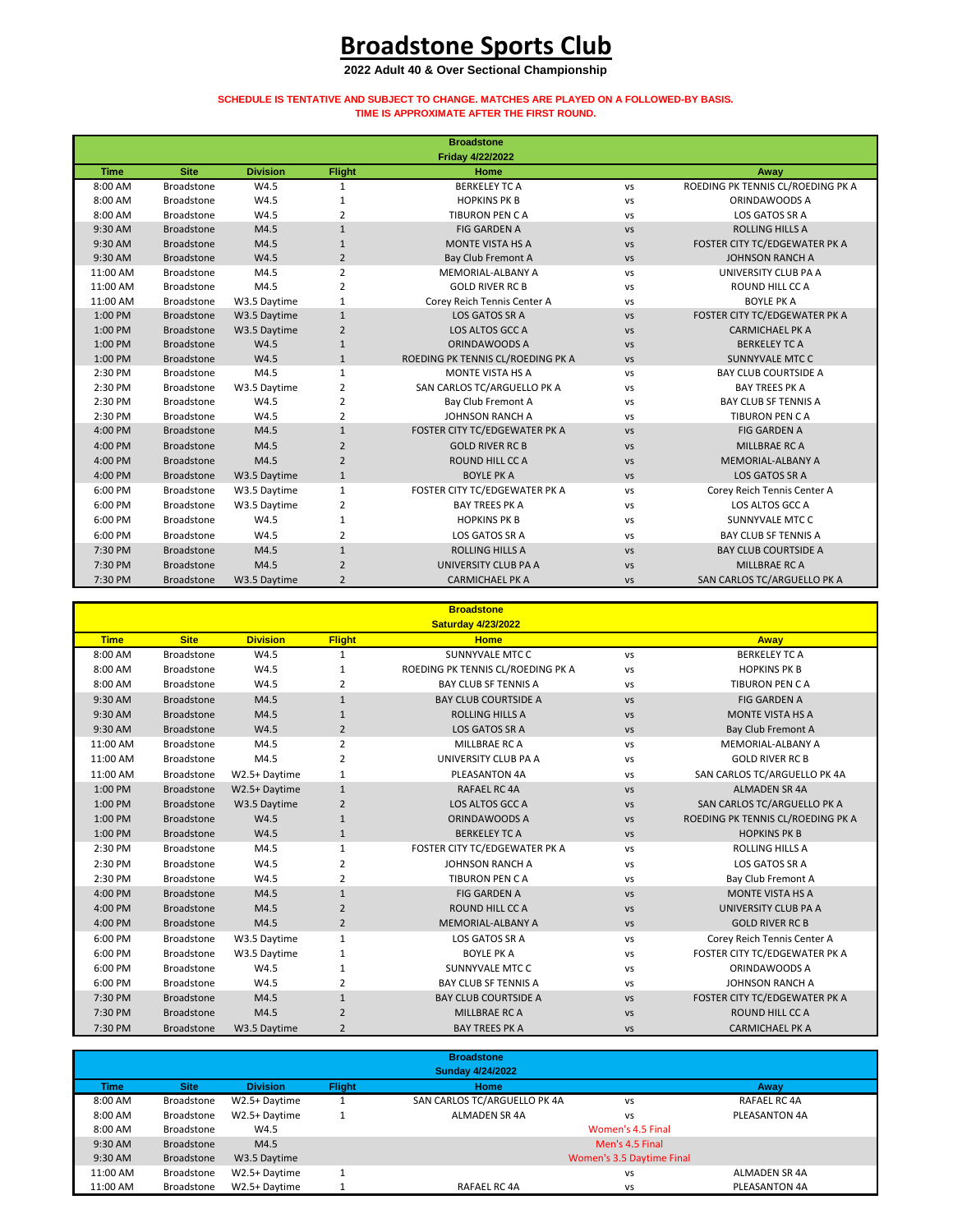|             |                   |                 |                | <b>Broadstone</b><br><b>Friday 4/22/2022</b> |               |                                   |
|-------------|-------------------|-----------------|----------------|----------------------------------------------|---------------|-----------------------------------|
| <b>Time</b> | <b>Site</b>       | <b>Division</b> | <b>Flight</b>  | <b>Home</b>                                  |               | Away                              |
| 8:00 AM     | <b>Broadstone</b> | W4.5            | $\mathbf{1}$   | <b>BERKELEY TC A</b>                         | VS            | ROEDING PK TENNIS CL/ROEDING PK A |
| 8:00 AM     | <b>Broadstone</b> | W4.5            | 1              | <b>HOPKINS PK B</b>                          | <b>VS</b>     | ORINDAWOODS A                     |
| 8:00 AM     | <b>Broadstone</b> | W4.5            | 2              | <b>TIBURON PEN CA</b>                        | VS            | LOS GATOS SR A                    |
| 9:30 AM     | <b>Broadstone</b> | M4.5            | $\mathbf{1}$   | <b>FIG GARDEN A</b>                          | <b>VS</b>     | <b>ROLLING HILLS A</b>            |
| 9:30 AM     | <b>Broadstone</b> | M4.5            | $\mathbf{1}$   | <b>MONTE VISTA HS A</b>                      | <b>VS</b>     | FOSTER CITY TC/EDGEWATER PK A     |
| 9:30 AM     | <b>Broadstone</b> | W4.5            | $\overline{2}$ | <b>Bay Club Fremont A</b>                    | <b>VS</b>     | <b>JOHNSON RANCH A</b>            |
| 11:00 AM    | <b>Broadstone</b> | M4.5            | $\overline{2}$ | MEMORIAL-ALBANY A                            | VS            | UNIVERSITY CLUB PA A              |
| 11:00 AM    | <b>Broadstone</b> | M4.5            | $\overline{2}$ | <b>GOLD RIVER RC B</b>                       | <b>VS</b>     | ROUND HILL CC A                   |
| 11:00 AM    | Broadstone        | W3.5 Daytime    | $\mathbf 1$    | Corey Reich Tennis Center A                  | VS            | <b>BOYLE PK A</b>                 |
| 1:00 PM     | <b>Broadstone</b> | W3.5 Daytime    | $\mathbf{1}$   | LOS GATOS SR A                               | <b>VS</b>     | FOSTER CITY TC/EDGEWATER PK A     |
| 1:00 PM     | <b>Broadstone</b> | W3.5 Daytime    | $\overline{2}$ | LOS ALTOS GCC A                              | <b>VS</b>     | <b>CARMICHAEL PK A</b>            |
| 1:00 PM     | <b>Broadstone</b> | W4.5            | $1\,$          | ORINDAWOODS A                                | $\mathsf{VS}$ | <b>BERKELEY TC A</b>              |
| 1:00 PM     | <b>Broadstone</b> | W4.5            | $\mathbf{1}$   | ROEDING PK TENNIS CL/ROEDING PK A            | <b>VS</b>     | <b>SUNNYVALE MTC C</b>            |
| 2:30 PM     | <b>Broadstone</b> | M4.5            | $\mathbf{1}$   | MONTE VISTA HS A                             | <b>VS</b>     | <b>BAY CLUB COURTSIDE A</b>       |
| 2:30 PM     | <b>Broadstone</b> | W3.5 Daytime    | $\overline{2}$ | SAN CARLOS TC/ARGUELLO PK A                  | VS            | <b>BAY TREES PK A</b>             |
| 2:30 PM     | <b>Broadstone</b> | W4.5            | $\overline{2}$ | <b>Bay Club Fremont A</b>                    | VS            | <b>BAY CLUB SF TENNIS A</b>       |
| 2:30 PM     | <b>Broadstone</b> | W4.5            | $\overline{2}$ | <b>JOHNSON RANCH A</b>                       | VS            | <b>TIBURON PEN CA</b>             |
| 4:00 PM     | <b>Broadstone</b> | M4.5            | $\mathbf{1}$   | FOSTER CITY TC/EDGEWATER PK A                | $\mathsf{VS}$ | <b>FIG GARDEN A</b>               |
| 4:00 PM     | Broadstone        | M4.5            | $\overline{2}$ | <b>GOLD RIVER RC B</b>                       | $\mathsf{VS}$ | MILLBRAE RC A                     |
| 4:00 PM     | <b>Broadstone</b> | M4.5            | $\overline{2}$ | <b>ROUND HILL CC A</b>                       | <b>VS</b>     | <b>MEMORIAL-ALBANY A</b>          |
| 4:00 PM     | Broadstone        | W3.5 Daytime    | $\mathbf{1}$   | <b>BOYLE PK A</b>                            | <b>VS</b>     | LOS GATOS SR A                    |
| 6:00 PM     | <b>Broadstone</b> | W3.5 Daytime    | $\mathbf{1}$   | FOSTER CITY TC/EDGEWATER PK A                | VS            | Corey Reich Tennis Center A       |
| 6:00 PM     | <b>Broadstone</b> | W3.5 Daytime    | $\overline{2}$ | <b>BAY TREES PK A</b>                        | <b>VS</b>     | LOS ALTOS GCC A                   |
| 6:00 PM     | <b>Broadstone</b> | W4.5            | 1              | <b>HOPKINS PK B</b>                          | VS            | <b>SUNNYVALE MTC C</b>            |
| 6:00 PM     | <b>Broadstone</b> | W4.5            | 2              | LOS GATOS SR A                               | VS            | <b>BAY CLUB SF TENNIS A</b>       |
| 7:30 PM     | <b>Broadstone</b> | M4.5            | $\mathbf{1}$   | <b>ROLLING HILLS A</b>                       | <b>VS</b>     | <b>BAY CLUB COURTSIDE A</b>       |
| 7:30 PM     | <b>Broadstone</b> | M4.5            | $\overline{2}$ | UNIVERSITY CLUB PA A                         | <b>VS</b>     | MILLBRAE RC A                     |
| 7:30 PM     | <b>Broadstone</b> | W3.5 Daytime    | $\overline{2}$ | <b>CARMICHAEL PK A</b>                       | <b>VS</b>     | SAN CARLOS TC/ARGUELLO PK A       |

|             |                   |                 |                  | <b>Broadstone</b>                 |               |                                   |
|-------------|-------------------|-----------------|------------------|-----------------------------------|---------------|-----------------------------------|
|             |                   |                 |                  | <b>Saturday 4/23/2022</b>         |               |                                   |
| <b>Time</b> | <b>Site</b>       | <b>Division</b> | <b>Flight</b>    | <b>Home</b>                       |               | <b>Away</b>                       |
| 8:00 AM     | <b>Broadstone</b> | W4.5            | $\mathbf{1}$     | <b>SUNNYVALE MTC C</b>            | VS            | <b>BERKELEY TC A</b>              |
| 8:00 AM     | <b>Broadstone</b> | W4.5            | 1                | ROEDING PK TENNIS CL/ROEDING PK A | VS            | <b>HOPKINS PK B</b>               |
| 8:00 AM     | <b>Broadstone</b> | W4.5            | 2                | <b>BAY CLUB SF TENNIS A</b>       | VS            | <b>TIBURON PEN CA</b>             |
| 9:30 AM     | <b>Broadstone</b> | M4.5            | $\mathbf{1}$     | <b>BAY CLUB COURTSIDE A</b>       | $\mathsf{VS}$ | <b>FIG GARDEN A</b>               |
| 9:30 AM     | <b>Broadstone</b> | M4.5            | $\mathbf{1}$     | <b>ROLLING HILLS A</b>            | $\mathsf{VS}$ | <b>MONTE VISTA HS A</b>           |
| 9:30 AM     | <b>Broadstone</b> | W4.5            | $\overline{2}$   | LOS GATOS SR A                    | <b>VS</b>     | <b>Bay Club Fremont A</b>         |
| 11:00 AM    | <b>Broadstone</b> | M4.5            | $\overline{2}$   | MILLBRAE RC A                     | VS            | MEMORIAL-ALBANY A                 |
| 11:00 AM    | Broadstone        | M4.5            | $\overline{2}$   | UNIVERSITY CLUB PA A              | <b>VS</b>     | <b>GOLD RIVER RC B</b>            |
| 11:00 AM    | <b>Broadstone</b> | W2.5+ Daytime   | 1                | PLEASANTON 4A                     | <b>VS</b>     | SAN CARLOS TC/ARGUELLO PK 4A      |
| 1:00 PM     | <b>Broadstone</b> | W2.5+ Daytime   | $\mathbf{1}$     | <b>RAFAEL RC 4A</b>               | <b>VS</b>     | <b>ALMADEN SR 4A</b>              |
| 1:00 PM     | <b>Broadstone</b> | W3.5 Daytime    | $\overline{2}$   | LOS ALTOS GCC A                   | $\mathsf{VS}$ | SAN CARLOS TC/ARGUELLO PK A       |
| 1:00 PM     | <b>Broadstone</b> | W4.5            | $\mathbf{1}$     | ORINDAWOODS A                     | $\mathsf{VS}$ | ROEDING PK TENNIS CL/ROEDING PK A |
| 1:00 PM     | <b>Broadstone</b> | W4.5            | $\mathbf{1}$     | <b>BERKELEY TC A</b>              | <b>VS</b>     | <b>HOPKINS PK B</b>               |
| 2:30 PM     | <b>Broadstone</b> | M4.5            |                  | FOSTER CITY TC/EDGEWATER PK A     | VS            | <b>ROLLING HILLS A</b>            |
| 2:30 PM     | <b>Broadstone</b> | W4.5            | 2                | <b>JOHNSON RANCH A</b>            | VS            | <b>LOS GATOS SR A</b>             |
| 2:30 PM     | <b>Broadstone</b> | W4.5            | 2                | <b>TIBURON PEN CA</b>             | VS            | <b>Bay Club Fremont A</b>         |
| 4:00 PM     | <b>Broadstone</b> | M4.5            | 1                | <b>FIG GARDEN A</b>               | <b>VS</b>     | <b>MONTE VISTA HS A</b>           |
| 4:00 PM     | <b>Broadstone</b> | M4.5            | $\overline{2}$   | <b>ROUND HILL CC A</b>            | <b>VS</b>     | UNIVERSITY CLUB PA A              |
| 4:00 PM     | <b>Broadstone</b> | M4.5            | $2 \overline{ }$ | <b>MEMORIAL-ALBANY A</b>          | <b>VS</b>     | <b>GOLD RIVER RC B</b>            |
| 6:00 PM     | <b>Broadstone</b> | W3.5 Daytime    | $\mathbf{1}$     | LOS GATOS SR A                    | VS            | Corey Reich Tennis Center A       |
| 6:00 PM     | <b>Broadstone</b> | W3.5 Daytime    | 1                | <b>BOYLE PK A</b>                 | VS            | FOSTER CITY TC/EDGEWATER PK A     |
| 6:00 PM     | <b>Broadstone</b> | W4.5            |                  | <b>SUNNYVALE MTC C</b>            | VS            | ORINDAWOODS A                     |
| 6:00 PM     | Broadstone        | W4.5            | $\overline{2}$   | <b>BAY CLUB SF TENNIS A</b>       | <b>VS</b>     | JOHNSON RANCH A                   |
| 7:30 PM     | <b>Broadstone</b> | M4.5            | 1                | <b>BAY CLUB COURTSIDE A</b>       | $\mathsf{VS}$ | FOSTER CITY TC/EDGEWATER PK A     |
| 7:30 PM     | <b>Broadstone</b> | M4.5            | $\overline{2}$   | MILLBRAE RC A                     | <b>VS</b>     | ROUND HILL CC A                   |
| 7:30 PM     | <b>Broadstone</b> | W3.5 Daytime    | $\overline{2}$   | <b>BAY TREES PK A</b>             | <b>VS</b>     | <b>CARMICHAEL PK A</b>            |

|             |                   |                 |               | <b>Broadstone</b><br><b>Sunday 4/24/2022</b> |                           |               |
|-------------|-------------------|-----------------|---------------|----------------------------------------------|---------------------------|---------------|
| <b>Time</b> | <b>Site</b>       | <b>Division</b> | <b>Flight</b> | Home                                         |                           | Away          |
| 8:00 AM     | Broadstone        | W2.5+Daytime    |               | SAN CARLOS TC/ARGUELLO PK 4A                 | <b>VS</b>                 | RAFAEL RC 4A  |
| 8:00 AM     | Broadstone        | W2.5+Daytime    |               | ALMADEN SR 4A                                | VS                        | PLEASANTON 4A |
| 8:00 AM     | Broadstone        | W4.5            |               |                                              | Women's 4.5 Final         |               |
| 9:30 AM     | <b>Broadstone</b> | M4.5            |               |                                              | Men's 4.5 Final           |               |
| 9:30 AM     | Broadstone        | W3.5 Daytime    |               |                                              | Women's 3.5 Daytime Final |               |
| 11:00 AM    | Broadstone        | W2.5+Daytime    |               |                                              | VS                        | ALMADEN SR 4A |
| 11:00 AM    | Broadstone        | W2.5+ Daytime   |               | RAFAEL RC 4A                                 | VS                        | PLEASANTON 4A |

# **Broadstone Sports Club**

### **2022 Adult 40 & Over Sectional Championship**

#### **SCHEDULE IS TENTATIVE AND SUBJECT TO CHANGE. MATCHES ARE PLAYED ON A FOLLOWED-BY BASIS. TIME IS APPROXIMATE AFTER THE FIRST ROUND.**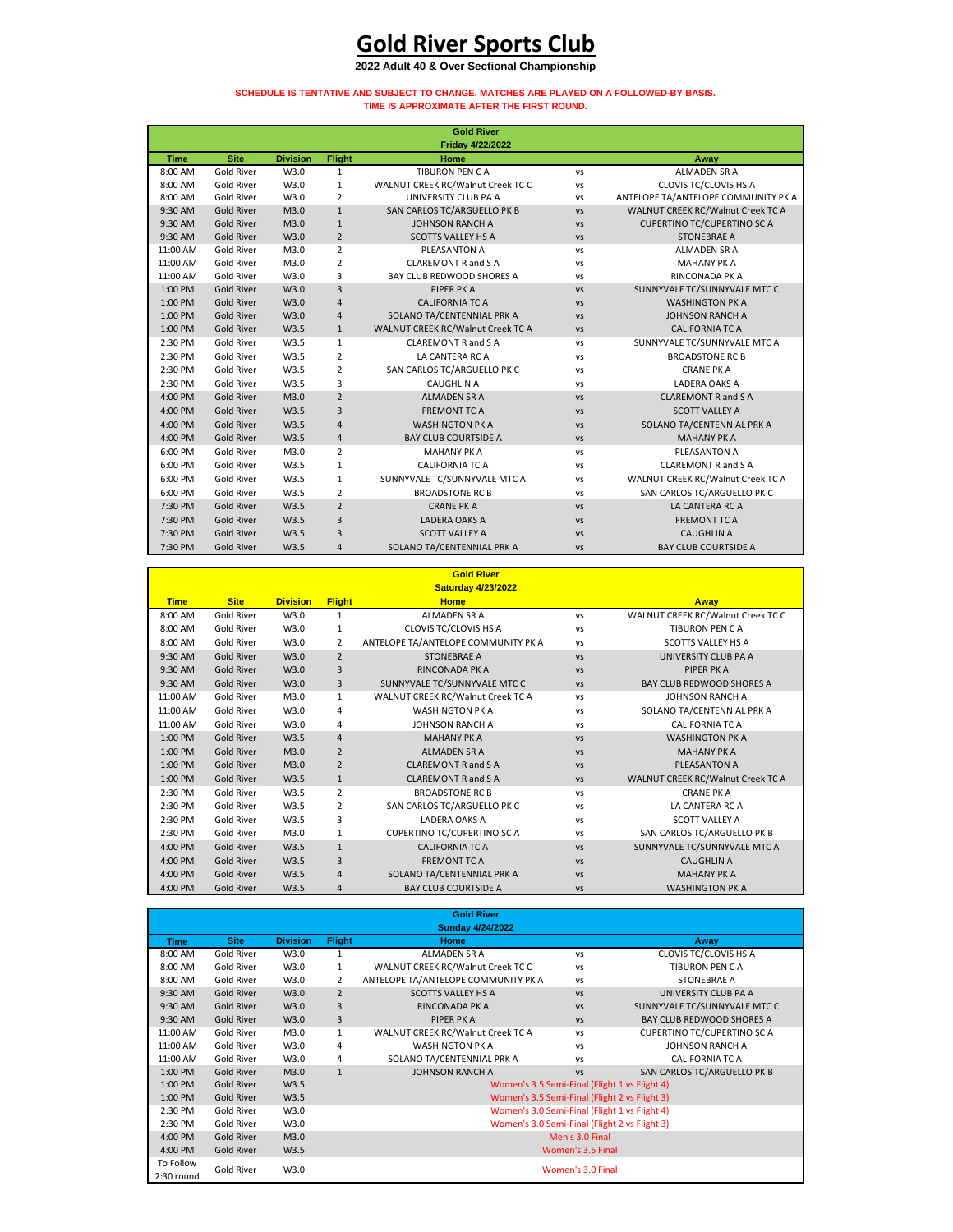|             |                   |                 |                | <b>Gold River</b>                 |           |                                     |
|-------------|-------------------|-----------------|----------------|-----------------------------------|-----------|-------------------------------------|
|             |                   |                 |                | <b>Friday 4/22/2022</b>           |           |                                     |
| <b>Time</b> | <b>Site</b>       | <b>Division</b> | <b>Flight</b>  | <b>Home</b>                       |           | Away                                |
| 8:00 AM     | <b>Gold River</b> | W3.0            | $\mathbf{1}$   | TIBURON PEN CA                    | <b>VS</b> | <b>ALMADEN SR A</b>                 |
| 8:00 AM     | <b>Gold River</b> | W3.0            | $\mathbf{1}$   | WALNUT CREEK RC/Walnut Creek TC C | VS        | <b>CLOVIS TC/CLOVIS HS A</b>        |
| 8:00 AM     | <b>Gold River</b> | W3.0            | $\overline{2}$ | UNIVERSITY CLUB PA A              | <b>VS</b> | ANTELOPE TA/ANTELOPE COMMUNITY PK A |
| 9:30 AM     | <b>Gold River</b> | M3.0            | $\mathbf{1}$   | SAN CARLOS TC/ARGUELLO PK B       | <b>VS</b> | WALNUT CREEK RC/Walnut Creek TC A   |
| 9:30 AM     | <b>Gold River</b> | M3.0            | $\mathbf{1}$   | <b>JOHNSON RANCH A</b>            | <b>VS</b> | <b>CUPERTINO TC/CUPERTINO SC A</b>  |
| 9:30 AM     | <b>Gold River</b> | W3.0            | $\overline{2}$ | <b>SCOTTS VALLEY HS A</b>         | <b>VS</b> | <b>STONEBRAE A</b>                  |
| 11:00 AM    | <b>Gold River</b> | M3.0            | $\overline{2}$ | PLEASANTON A                      | <b>VS</b> | <b>ALMADEN SR A</b>                 |
| 11:00 AM    | <b>Gold River</b> | M3.0            | $\overline{2}$ | <b>CLAREMONT R and S A</b>        | <b>VS</b> | <b>MAHANY PK A</b>                  |
| 11:00 AM    | <b>Gold River</b> | W3.0            | 3              | BAY CLUB REDWOOD SHORES A         | VS        | <b>RINCONADA PK A</b>               |
| 1:00 PM     | <b>Gold River</b> | W3.0            | 3              | PIPER PK A                        | VS        | SUNNYVALE TC/SUNNYVALE MTC C        |
| 1:00 PM     | <b>Gold River</b> | W3.0            | $\sqrt{4}$     | <b>CALIFORNIA TC A</b>            | <b>VS</b> | <b>WASHINGTON PK A</b>              |
| 1:00 PM     | <b>Gold River</b> | W3.0            | 4              | SOLANO TA/CENTENNIAL PRK A        | <b>VS</b> | <b>JOHNSON RANCH A</b>              |
| 1:00 PM     | <b>Gold River</b> | W3.5            | $\mathbf{1}$   | WALNUT CREEK RC/Walnut Creek TC A | <b>VS</b> | <b>CALIFORNIA TC A</b>              |
| 2:30 PM     | <b>Gold River</b> | W3.5            | $\mathbf{1}$   | <b>CLAREMONT R and S A</b>        | <b>VS</b> | SUNNYVALE TC/SUNNYVALE MTC A        |
| 2:30 PM     | <b>Gold River</b> | W3.5            | $\overline{2}$ | LA CANTERA RC A                   | <b>VS</b> | <b>BROADSTONE RC B</b>              |
| 2:30 PM     | <b>Gold River</b> | W3.5            | $2^{\circ}$    | SAN CARLOS TC/ARGUELLO PK C       | VS        | <b>CRANE PK A</b>                   |
| 2:30 PM     | <b>Gold River</b> | W3.5            | 3              | <b>CAUGHLIN A</b>                 | VS        | LADERA OAKS A                       |
| 4:00 PM     | <b>Gold River</b> | M3.0            | $\overline{2}$ | <b>ALMADEN SR A</b>               | VS        | <b>CLAREMONT R and S A</b>          |
| 4:00 PM     | <b>Gold River</b> | W3.5            | 3              | <b>FREMONT TC A</b>               | VS        | <b>SCOTT VALLEY A</b>               |
| 4:00 PM     | <b>Gold River</b> | W3.5            | 4              | <b>WASHINGTON PK A</b>            | <b>VS</b> | SOLANO TA/CENTENNIAL PRK A          |
| 4:00 PM     | <b>Gold River</b> | W3.5            | $\overline{4}$ | <b>BAY CLUB COURTSIDE A</b>       | <b>VS</b> | <b>MAHANY PK A</b>                  |
| 6:00 PM     | <b>Gold River</b> | M3.0            | $\overline{2}$ | <b>MAHANY PK A</b>                | VS        | PLEASANTON A                        |
| 6:00 PM     | <b>Gold River</b> | W3.5            | $\mathbf{1}$   | <b>CALIFORNIA TC A</b>            | <b>VS</b> | <b>CLAREMONT R and S A</b>          |
| 6:00 PM     | <b>Gold River</b> | W3.5            | $\mathbf{1}$   | SUNNYVALE TC/SUNNYVALE MTC A      | VS        | WALNUT CREEK RC/Walnut Creek TC A   |
| 6:00 PM     | <b>Gold River</b> | W3.5            | $\overline{2}$ | <b>BROADSTONE RC B</b>            | <b>VS</b> | SAN CARLOS TC/ARGUELLO PK C         |
| 7:30 PM     | <b>Gold River</b> | W3.5            | $\overline{2}$ | <b>CRANE PK A</b>                 | <b>VS</b> | LA CANTERA RC A                     |
| 7:30 PM     | <b>Gold River</b> | W3.5            | 3              | LADERA OAKS A                     | <b>VS</b> | <b>FREMONT TC A</b>                 |
| 7:30 PM     | <b>Gold River</b> | W3.5            | 3              | <b>SCOTT VALLEY A</b>             | <b>VS</b> | <b>CAUGHLIN A</b>                   |
| 7:30 PM     | <b>Gold River</b> | W3.5            | $\overline{4}$ | SOLANO TA/CENTENNIAL PRK A        | <b>VS</b> | <b>BAY CLUB COURTSIDE A</b>         |

|                         |                                        |                 |                   | <b>Gold River</b>                             |                   |                                                           |
|-------------------------|----------------------------------------|-----------------|-------------------|-----------------------------------------------|-------------------|-----------------------------------------------------------|
|                         |                                        |                 |                   | <b>Saturday 4/23/2022</b>                     |                   |                                                           |
| <b>Time</b>             | <b>Site</b>                            | <b>Division</b> | <b>Flight</b>     | <b>Home</b>                                   |                   | <b>Away</b>                                               |
| 8:00 AM                 | <b>Gold River</b>                      | W3.0            | $\mathbf{1}$      | <b>ALMADEN SR A</b>                           | <b>VS</b>         | WALNUT CREEK RC/Walnut Creek TC C                         |
| 8:00 AM                 | <b>Gold River</b>                      | W3.0            | 1                 | CLOVIS TC/CLOVIS HS A                         | VS                | <b>TIBURON PEN CA</b>                                     |
| 8:00 AM                 | <b>Gold River</b>                      | W3.0            | $\overline{2}$    | ANTELOPE TA/ANTELOPE COMMUNITY PK A           | <b>VS</b>         | <b>SCOTTS VALLEY HS A</b>                                 |
| 9:30 AM                 | <b>Gold River</b>                      | W3.0            | $\overline{2}$    | <b>STONEBRAE A</b>                            | <b>VS</b>         | UNIVERSITY CLUB PA A                                      |
| 9:30 AM                 | <b>Gold River</b>                      | W3.0            | 3                 | RINCONADA PK A                                | <b>VS</b>         | <b>PIPER PKA</b>                                          |
| 9:30 AM                 | <b>Gold River</b>                      | W3.0            | 3                 | SUNNYVALE TC/SUNNYVALE MTC C                  | <b>VS</b>         | BAY CLUB REDWOOD SHORES A                                 |
| 11:00 AM                | <b>Gold River</b>                      | M3.0            | $\mathbf{1}$      | WALNUT CREEK RC/Walnut Creek TC A             | <b>VS</b>         | JOHNSON RANCH A                                           |
| 11:00 AM                | <b>Gold River</b>                      | W3.0            | 4                 | <b>WASHINGTON PK A</b>                        | VS                | SOLANO TA/CENTENNIAL PRK A                                |
| 11:00 AM                | <b>Gold River</b>                      | W3.0            | 4                 | <b>JOHNSON RANCH A</b>                        | VS                | <b>CALIFORNIA TC A</b>                                    |
| 1:00 PM                 | <b>Gold River</b>                      | W3.5            | 4                 | <b>MAHANY PK A</b>                            | <b>VS</b>         | <b>WASHINGTON PK A</b>                                    |
| 1:00 PM                 | <b>Gold River</b>                      | M3.0            | $\overline{2}$    | <b>ALMADEN SR A</b>                           | <b>VS</b>         | <b>MAHANY PK A</b>                                        |
| 1:00 PM                 | <b>Gold River</b>                      | M3.0            | $\overline{2}$    | <b>CLAREMONT R and S A</b>                    | <b>VS</b>         | PLEASANTON A                                              |
| 1:00 PM                 | <b>Gold River</b>                      | W3.5            | $\mathbf{1}$      | <b>CLAREMONT R and S A</b>                    | <b>VS</b>         | WALNUT CREEK RC/Walnut Creek TC A                         |
| 2:30 PM                 | <b>Gold River</b>                      | W3.5            | $\overline{2}$    | <b>BROADSTONE RC B</b>                        | VS                | <b>CRANE PK A</b>                                         |
| 2:30 PM                 | <b>Gold River</b>                      | W3.5            | $\overline{2}$    | SAN CARLOS TC/ARGUELLO PK C                   | VS                | LA CANTERA RC A                                           |
| 2:30 PM                 | <b>Gold River</b>                      | W3.5            | 3                 | LADERA OAKS A                                 | VS                | <b>SCOTT VALLEY A</b>                                     |
| 2:30 PM                 | <b>Gold River</b>                      | M3.0            | $\mathbf{1}$      | <b>CUPERTINO TC/CUPERTINO SC A</b>            | <b>VS</b>         | SAN CARLOS TC/ARGUELLO PK B                               |
| 4:00 PM                 | <b>Gold River</b>                      | W3.5            | $\mathbf{1}$      | <b>CALIFORNIA TC A</b>                        | <b>VS</b>         | SUNNYVALE TC/SUNNYVALE MTC A                              |
| 4:00 PM                 | <b>Gold River</b>                      | W3.5            | 3                 | <b>FREMONT TC A</b>                           | <b>VS</b>         | <b>CAUGHLIN A</b>                                         |
| 4:00 PM                 | <b>Gold River</b>                      | W3.5            | 4                 | SOLANO TA/CENTENNIAL PRK A                    | <b>VS</b>         | <b>MAHANY PK A</b>                                        |
| 4:00 PM                 | <b>Gold River</b>                      | W3.5            | 4                 | <b>BAY CLUB COURTSIDE A</b>                   | <b>VS</b>         | <b>WASHINGTON PK A</b>                                    |
|                         |                                        |                 |                   |                                               |                   |                                                           |
|                         |                                        |                 |                   | <b>Gold River</b>                             |                   |                                                           |
|                         |                                        |                 |                   | <b>Sunday 4/24/2022</b>                       |                   |                                                           |
| <b>Time</b>             | <b>Site</b>                            | <b>Division</b> | <b>Flight</b>     | <b>Home</b>                                   |                   | Away                                                      |
| 8:00 AM                 | <b>Gold River</b>                      | W3.0            | $\mathbf{1}$      | <b>ALMADEN SR A</b>                           | VS                | CLOVIS TC/CLOVIS HS A                                     |
| 8:00 AM                 | <b>Gold River</b>                      | W3.0            | $\mathbf{1}$      | WALNUT CREEK RC/Walnut Creek TC C             | VS                | <b>TIBURON PEN CA</b>                                     |
| 8:00 AM                 | <b>Gold River</b>                      | W3.0            | $\overline{2}$    | ANTELOPE TA/ANTELOPE COMMUNITY PK A           | vs                | <b>STONEBRAE A</b>                                        |
| 9:30 AM                 | <b>Gold River</b>                      | W3.0            | $\overline{2}$    | <b>SCOTTS VALLEY HS A</b>                     | <b>VS</b>         | UNIVERSITY CLUB PA A                                      |
| 9:30 AM                 | <b>Gold River</b>                      | W3.0            | 3                 | RINCONADA PK A<br><b>PIPER PKA</b>            | <b>VS</b>         | SUNNYVALE TC/SUNNYVALE MTC C<br>BAY CLUB REDWOOD SHORES A |
| 9:30 AM<br>11:00 AM     | <b>Gold River</b><br><b>Gold River</b> | W3.0<br>M3.0    | 3                 | WALNUT CREEK RC/Walnut Creek TC A             | <b>VS</b>         | <b>CUPERTINO TC/CUPERTINO SC A</b>                        |
| 11:00 AM                | <b>Gold River</b>                      | W3.0            | $\mathbf{1}$<br>4 | <b>WASHINGTON PK A</b>                        | VS<br><b>VS</b>   | <b>JOHNSON RANCH A</b>                                    |
| 11:00 AM                | <b>Gold River</b>                      | W3.0            | 4                 | SOLANO TA/CENTENNIAL PRK A                    | VS                | <b>CALIFORNIA TC A</b>                                    |
| 1:00 PM                 | <b>Gold River</b>                      | M3.0            | $\mathbf{1}$      | <b>JOHNSON RANCH A</b>                        | <b>VS</b>         | SAN CARLOS TC/ARGUELLO PK B                               |
| 1:00 PM                 | <b>Gold River</b>                      | W3.5            |                   |                                               |                   | Women's 3.5 Semi-Final (Flight 1 vs Flight 4)             |
| 1:00 PM                 | <b>Gold River</b>                      | W3.5            |                   | Women's 3.5 Semi-Final (Flight 2 vs Flight 3) |                   |                                                           |
| 2:30 PM                 | <b>Gold River</b>                      | W3.0            |                   | Women's 3.0 Semi-Final (Flight 1 vs Flight 4) |                   |                                                           |
| 2:30 PM                 | Gold River                             | W3.0            |                   | Women's 3.0 Semi-Final (Flight 2 vs Flight 3) |                   |                                                           |
| 4:00 PM                 | <b>Gold River</b>                      | M3.0            |                   |                                               | Men's 3.0 Final   |                                                           |
| 4:00 PM                 | <b>Gold River</b>                      | W3.5            |                   |                                               | Women's 3.5 Final |                                                           |
| To Follow<br>2:30 round | <b>Gold River</b>                      | W3.0            |                   |                                               | Women's 3.0 Final |                                                           |

# **Gold River Sports Club**

## **2022 Adult 40 & Over Sectional Championship**

### **SCHEDULE IS TENTATIVE AND SUBJECT TO CHANGE. MATCHES ARE PLAYED ON A FOLLOWED-BY BASIS. TIME IS APPROXIMATE AFTER THE FIRST ROUND.**